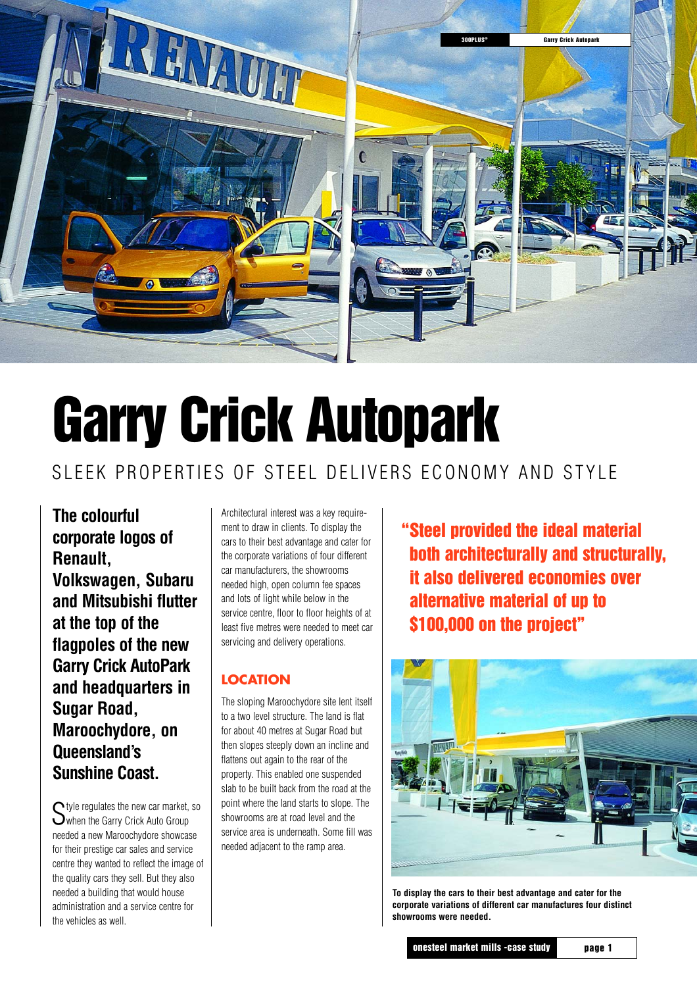

# **Garry Crick Autopark**

## SLEEK PROPERTIES OF STEEL DELIVERS ECONOMY AND STYLE

**The colourful corporate logos of Renault, Volkswagen, Subaru and Mitsubishi flutter at the top of the flagpoles of the new Garry Crick AutoPark and headquarters in Sugar Road, Maroochydore, on Queensland's Sunshine Coast.**

Style regulates the new car market, so<br>Swhen the Garry Crick Auto Group needed a new Maroochydore showcase for their prestige car sales and service centre they wanted to reflect the image of the quality cars they sell. But they also needed a building that would house administration and a service centre for the vehicles as well.

Architectural interest was a key requirement to draw in clients. To display the cars to their best advantage and cater for the corporate variations of four different car manufacturers, the showrooms needed high, open column fee spaces and lots of light while below in the service centre, floor to floor heights of at least five metres were needed to meet car servicing and delivery operations.

#### **LOCATION**

The sloping Maroochydore site lent itself to a two level structure. The land is flat for about 40 metres at Sugar Road but then slopes steeply down an incline and flattens out again to the rear of the property. This enabled one suspended slab to be built back from the road at the point where the land starts to slope. The showrooms are at road level and the service area is underneath. Some fill was needed adjacent to the ramp area.

**Steel provided the ideal material "both architecturally and structurally, it also delivered economies over alternative material of up to \$100,000 on the project"**



**To display the cars to their best advantage and cater for the corporate variations of different car manufactures four distinct showrooms were needed.**